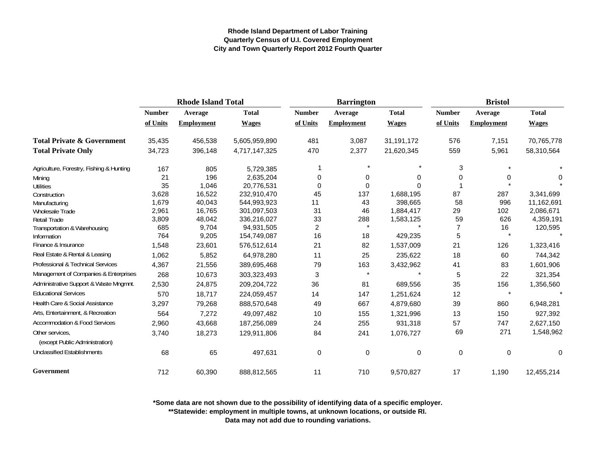|                                                   | <b>Rhode Island Total</b> |                   |               | <b>Barrington</b> |                   |              | <b>Bristol</b> |                   |              |
|---------------------------------------------------|---------------------------|-------------------|---------------|-------------------|-------------------|--------------|----------------|-------------------|--------------|
|                                                   | <b>Number</b>             | Average           | <b>Total</b>  | <b>Number</b>     | Average           | <b>Total</b> | <b>Number</b>  | Average           | <b>Total</b> |
|                                                   | of Units                  | <b>Employment</b> | <b>Wages</b>  | of Units          | <b>Employment</b> | <b>Wages</b> | of Units       | <b>Employment</b> | <b>Wages</b> |
| <b>Total Private &amp; Government</b>             | 35,435                    | 456,538           | 5,605,959,890 | 481               | 3,087             | 31,191,172   | 576            | 7,151             | 70,765,778   |
| <b>Total Private Only</b>                         | 34,723                    | 396,148           | 4,717,147,325 | 470               | 2,377             | 21,620,345   | 559            | 5,961             | 58,310,564   |
| Agriculture, Forestry, Fishing & Hunting          | 167                       | 805               | 5,729,385     |                   |                   | $\star$      | 3              |                   |              |
| Mining                                            | 21                        | 196               | 2,635,204     | 0                 | 0                 | 0            | 0              | 0                 | 0            |
| Utilities                                         | 35                        | 1,046             | 20,776,531    | 0                 | $\Omega$          | $\Omega$     |                |                   |              |
| Construction                                      | 3,628                     | 16,522            | 232,910,470   | 45                | 137               | 1,688,195    | 87             | 287               | 3,341,699    |
| Manufacturing                                     | 1,679                     | 40,043            | 544,993,923   | 11                | 43                | 398,665      | 58             | 996               | 11,162,691   |
| Wholesale Trade                                   | 2,961                     | 16,765            | 301,097,503   | 31                | 46                | 1,884,417    | 29             | 102               | 2,086,671    |
| Retail Trade                                      | 3,809                     | 48,042            | 336,216,027   | 33                | 288               | 1,583,125    | 59             | 626               | 4,359,191    |
| Transportation & Warehousing                      | 685                       | 9,704             | 94,931,505    | $\overline{c}$    | $\star$           |              |                | 16                | 120,595      |
| Information                                       | 764                       | 9,205             | 154,749,087   | 16                | 18                | 429,235      | 5              |                   |              |
| Finance & Insurance                               | 1,548                     | 23,601            | 576,512,614   | 21                | 82                | 1,537,009    | 21             | 126               | 1,323,416    |
| Real Estate & Rental & Leasing                    | 1,062                     | 5,852             | 64,978,280    | 11                | 25                | 235,622      | 18             | 60                | 744,342      |
| Professional & Technical Services                 | 4,367                     | 21,556            | 389,695,468   | 79                | 163               | 3,432,962    | 41             | 83                | 1,601,906    |
| Management of Companies & Enterprises             | 268                       | 10,673            | 303,323,493   | 3                 | $\star$           |              | 5              | 22                | 321,354      |
| Administrative Support & Waste Mngmnt.            | 2,530                     | 24,875            | 209,204,722   | 36                | 81                | 689,556      | 35             | 156               | 1,356,560    |
| <b>Educational Services</b>                       | 570                       | 18,717            | 224,059,457   | 14                | 147               | 1,251,624    | 12             | $\star$           |              |
| <b>Health Care &amp; Social Assistance</b>        | 3,297                     | 79,268            | 888,570,648   | 49                | 667               | 4,879,680    | 39             | 860               | 6,948,281    |
| Arts, Entertainment, & Recreation                 | 564                       | 7,272             | 49,097,482    | 10                | 155               | 1,321,996    | 13             | 150               | 927,392      |
| <b>Accommodation &amp; Food Services</b>          | 2,960                     | 43,668            | 187,256,089   | 24                | 255               | 931,318      | 57             | 747               | 2,627,150    |
| Other services,<br>(except Public Administration) | 3,740                     | 18,273            | 129,911,806   | 84                | 241               | 1,076,727    | 69             | 271               | 1,548,962    |
| <b>Unclassified Establishments</b>                | 68                        | 65                | 497,631       | $\pmb{0}$         | $\mathbf 0$       | $\pmb{0}$    | 0              | 0                 | 0            |
| Government                                        | 712                       | 60,390            | 888,812,565   | 11                | 710               | 9,570,827    | 17             | 1,190             | 12,455,214   |

**\*Some data are not shown due to the possibility of identifying data of a specific employer.**

**\*\*Statewide: employment in multiple towns, at unknown locations, or outside RI.**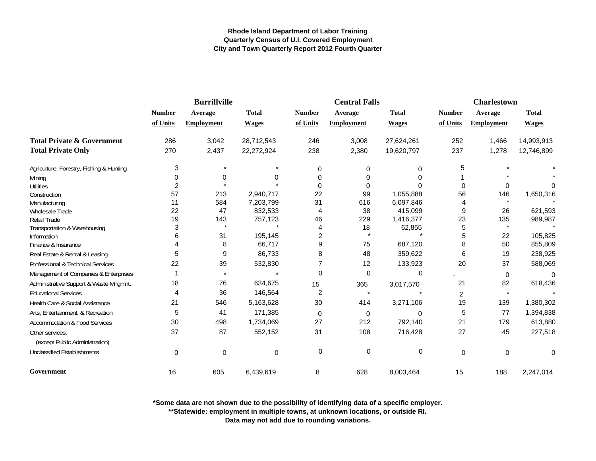|                                          |                | <b>Burrillville</b> |              |                | <b>Central Falls</b> |              | <b>Charlestown</b> |                   |              |
|------------------------------------------|----------------|---------------------|--------------|----------------|----------------------|--------------|--------------------|-------------------|--------------|
|                                          | <b>Number</b>  | Average             | <b>Total</b> | <b>Number</b>  | Average              | <b>Total</b> | <b>Number</b>      | Average           | <b>Total</b> |
|                                          | of Units       | <b>Employment</b>   | <b>Wages</b> | of Units       | <b>Employment</b>    | <b>Wages</b> | of Units           | <b>Employment</b> | <b>Wages</b> |
| <b>Total Private &amp; Government</b>    | 286            | 3,042               | 28,712,543   | 246            | 3,008                | 27,624,261   | 252                | 1,466             | 14,993,913   |
| <b>Total Private Only</b>                | 270            | 2,437               | 22,272,924   | 238            | 2,380                | 19,620,797   | 237                | 1,278             | 12,746,899   |
| Agriculture, Forestry, Fishing & Hunting | 3              |                     |              | 0              | 0                    | 0            | 5                  |                   |              |
| Mining                                   | 0              | 0                   | 0            | $\Omega$       | 0                    |              |                    |                   |              |
| <b>Utilities</b>                         | $\overline{c}$ |                     |              | $\Omega$       | 0                    |              | 0                  | 0                 | $\Omega$     |
| Construction                             | 57             | 213                 | 2,940,717    | 22             | 99                   | 1,055,888    | 56                 | 146               | 1,650,316    |
| Manufacturing                            | 11             | 584                 | 7,203,799    | 31             | 616                  | 6,097,846    | 4                  |                   |              |
| Wholesale Trade                          | 22             | 47                  | 832,533      | 4              | 38                   | 415,099      | 9                  | 26                | 621,593      |
| Retail Trade                             | 19             | 143                 | 757,123      | 46             | 229                  | 1,416,377    | 23                 | 135               | 989,987      |
| Transportation & Warehousing             | 3              | $\star$             |              | 4              | 18                   | 62,855       | 5                  |                   |              |
| Information                              | 6              | 31                  | 195,145      | $\overline{c}$ |                      |              | 5                  | 22                | 105,825      |
| Finance & Insurance                      | 4              | 8                   | 66,717       | 9              | 75                   | 687,120      | 8                  | 50                | 855,809      |
| Real Estate & Rental & Leasing           | 5              | 9                   | 86,733       | 8              | 48                   | 359,622      | 6                  | 19                | 238,925      |
| Professional & Technical Services        | 22             | 39                  | 532,830      |                | 12                   | 133,923      | 20                 | 37                | 588,069      |
| Management of Companies & Enterprises    |                |                     |              | 0              | 0                    | $\mathbf 0$  |                    | 0                 | $\Omega$     |
| Administrative Support & Waste Mngmnt.   | 18             | 76                  | 634,675      | 15             | 365                  | 3,017,570    | 21                 | 82                | 618,436      |
| <b>Educational Services</b>              | 4              | 36                  | 146,564      | $\overline{c}$ | $\star$              |              | $\overline{c}$     |                   |              |
| Health Care & Social Assistance          | 21             | 546                 | 5,163,628    | 30             | 414                  | 3,271,106    | 19                 | 139               | 1,380,302    |
| Arts, Entertainment, & Recreation        | 5              | 41                  | 171,385      | $\Omega$       | 0                    | $\Omega$     | 5                  | 77                | 1,394,838    |
| Accommodation & Food Services            | 30             | 498                 | 1,734,069    | 27             | 212                  | 792,140      | 21                 | 179               | 613,880      |
| Other services,                          | 37             | 87                  | 552,152      | 31             | 108                  | 716,428      | 27                 | 45                | 227,518      |
| (except Public Administration)           |                |                     |              |                |                      |              |                    |                   |              |
| <b>Unclassified Establishments</b>       | 0              | $\mathbf 0$         | 0            | $\pmb{0}$      | 0                    | 0            | $\mathbf 0$        | $\mathbf 0$       | 0            |
| Government                               | 16             | 605                 | 6,439,619    | 8              | 628                  | 8,003,464    | 15                 | 188               | 2,247,014    |

**\*Some data are not shown due to the possibility of identifying data of a specific employer.**

**\*\*Statewide: employment in multiple towns, at unknown locations, or outside RI.**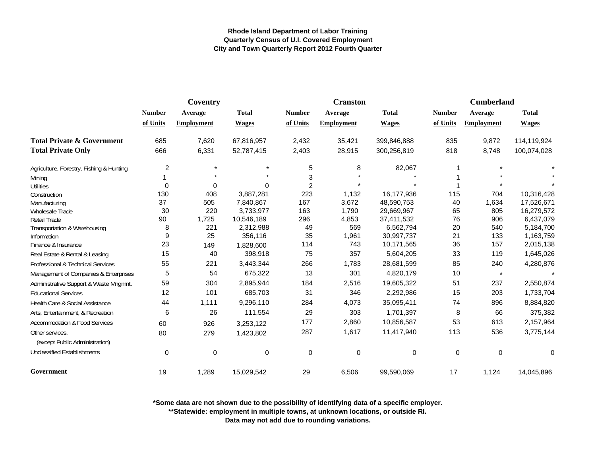|                                          | Coventry       |                   |              |                | <b>Cranston</b>   |              | <b>Cumberland</b> |                   |              |
|------------------------------------------|----------------|-------------------|--------------|----------------|-------------------|--------------|-------------------|-------------------|--------------|
|                                          | <b>Number</b>  | Average           | <b>Total</b> | <b>Number</b>  | Average           | <b>Total</b> | <b>Number</b>     | Average           | <b>Total</b> |
|                                          | of Units       | <b>Employment</b> | <b>Wages</b> | of Units       | <b>Employment</b> | <b>Wages</b> | of Units          | <b>Employment</b> | <b>Wages</b> |
| <b>Total Private &amp; Government</b>    | 685            | 7,620             | 67,816,957   | 2,432          | 35,421            | 399,846,888  | 835               | 9,872             | 114,119,924  |
| <b>Total Private Only</b>                | 666            | 6,331             | 52,787,415   | 2,403          | 28,915            | 300,256,819  | 818               | 8,748             | 100,074,028  |
| Agriculture, Forestry, Fishing & Hunting | $\overline{c}$ | $\star$           |              | 5              | 8                 | 82,067       |                   |                   |              |
| Mining                                   |                |                   |              | 3              |                   |              |                   |                   |              |
| <b>Utilities</b>                         | 0              | 0                 | 0            | $\overline{2}$ |                   |              |                   |                   |              |
| Construction                             | 130            | 408               | 3,887,281    | 223            | 1,132             | 16,177,936   | 115               | 704               | 10,316,428   |
| Manufacturing                            | 37             | 505               | 7,840,867    | 167            | 3,672             | 48,590,753   | 40                | 1,634             | 17,526,671   |
| Wholesale Trade                          | 30             | 220               | 3,733,977    | 163            | 1,790             | 29,669,967   | 65                | 805               | 16,279,572   |
| <b>Retail Trade</b>                      | 90             | 1,725             | 10,546,189   | 296            | 4,853             | 37,411,532   | 76                | 906               | 6,437,079    |
| Transportation & Warehousing             | 8              | 221               | 2,312,988    | 49             | 569               | 6,562,794    | 20                | 540               | 5,184,700    |
| Information                              | 9              | 25                | 356,116      | 35             | 1,961             | 30,997,737   | 21                | 133               | 1,163,759    |
| Finance & Insurance                      | 23             | 149               | 1,828,600    | 114            | 743               | 10,171,565   | 36                | 157               | 2,015,138    |
| Real Estate & Rental & Leasing           | 15             | 40                | 398,918      | 75             | 357               | 5,604,205    | 33                | 119               | 1,645,026    |
| Professional & Technical Services        | 55             | 221               | 3,443,344    | 266            | 1,783             | 28,681,599   | 85                | 240               | 4,280,876    |
| Management of Companies & Enterprises    | 5              | 54                | 675,322      | 13             | 301               | 4,820,179    | 10                | $\star$           |              |
| Administrative Support & Waste Mngmnt.   | 59             | 304               | 2,895,944    | 184            | 2,516             | 19,605,322   | 51                | 237               | 2,550,874    |
| <b>Educational Services</b>              | 12             | 101               | 685,703      | 31             | 346               | 2,292,986    | 15                | 203               | 1,733,704    |
| Health Care & Social Assistance          | 44             | 1,111             | 9,296,110    | 284            | 4,073             | 35,095,411   | 74                | 896               | 8,884,820    |
| Arts, Entertainment, & Recreation        | 6              | 26                | 111,554      | 29             | 303               | 1,701,397    | 8                 | 66                | 375,382      |
| <b>Accommodation &amp; Food Services</b> | 60             | 926               | 3,253,122    | 177            | 2,860             | 10,856,587   | 53                | 613               | 2,157,964    |
| Other services.                          | 80             | 279               | 1,423,802    | 287            | 1,617             | 11,417,940   | 113               | 536               | 3,775,144    |
| (except Public Administration)           |                |                   |              |                |                   |              |                   |                   |              |
| <b>Unclassified Establishments</b>       | 0              | $\pmb{0}$         | 0            | $\mathbf 0$    | 0                 | 0            | $\mathbf 0$       | $\mathbf 0$       | 0            |
| Government                               | 19             | 1,289             | 15,029,542   | 29             | 6,506             | 99,590,069   | 17                | 1,124             | 14,045,896   |

**\*Some data are not shown due to the possibility of identifying data of a specific employer.**

**\*\*Statewide: employment in multiple towns, at unknown locations, or outside RI.**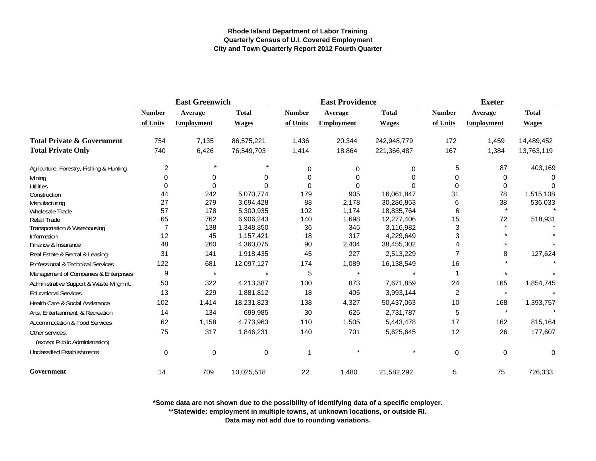|                                                   | <b>East Greenwich</b> |                   |              |               | <b>East Providence</b> |              | <b>Exeter</b> |                   |              |
|---------------------------------------------------|-----------------------|-------------------|--------------|---------------|------------------------|--------------|---------------|-------------------|--------------|
|                                                   | <b>Number</b>         | Average           | <b>Total</b> | <b>Number</b> | Average                | <b>Total</b> | <b>Number</b> | Average           | <b>Total</b> |
|                                                   | of Units              | <b>Employment</b> | <b>Wages</b> | of Units      | <b>Employment</b>      | <b>Wages</b> | of Units      | <b>Employment</b> | <b>Wages</b> |
| <b>Total Private &amp; Government</b>             | 754                   | 7,135             | 86,575,221   | 1,436         | 20,344                 | 242,948,779  | 172           | 1,459             | 14,489,452   |
| <b>Total Private Only</b>                         | 740                   | 6,426             | 76,549,703   | 1,414         | 18,864                 | 221,366,487  | 167           | 1,384             | 13,763,119   |
| Agriculture, Forestry, Fishing & Hunting          | 2                     | $\star$           |              | $\Omega$      | 0                      | 0            | 5             | 87                | 403,169      |
| Mining                                            | 0                     | 0                 | O            | $\Omega$      | 0                      | 0            | 0             | 0                 | C            |
| Utilities                                         | 0                     | $\Omega$          |              | $\Omega$      | 0                      |              | 0             | 0                 | $\Omega$     |
| Construction                                      | 44                    | 242               | 5,070,774    | 179           | 905                    | 16,061,847   | 31            | 78                | 1,515,108    |
| Manufacturing                                     | 27                    | 279               | 3,694,428    | 88            | 2,178                  | 30,286,853   | 6             | 38                | 536,033      |
| Wholesale Trade                                   | 57                    | 178               | 5,300,935    | 102           | 1,174                  | 18,835,764   | 6             | $\star$           |              |
| <b>Retail Trade</b>                               | 65                    | 762               | 6,906,243    | 140           | 1,698                  | 12,277,406   | 15            | 72                | 518,931      |
| Transportation & Warehousing                      | $\overline{7}$        | 138               | 1,348,850    | 36            | 345                    | 3,116,982    | 3             |                   |              |
| Information                                       | 12                    | 45                | 1,157,421    | 18            | 317                    | 4,229,649    | 3             |                   |              |
| Finance & Insurance                               | 48                    | 260               | 4,360,075    | 90            | 2,404                  | 38,455,302   |               |                   |              |
| Real Estate & Rental & Leasing                    | 31                    | 141               | 1,918,435    | 45            | 227                    | 2,513,229    | 7             | 8                 | 127,624      |
| <b>Professional &amp; Technical Services</b>      | 122                   | 681               | 12,097,127   | 174           | 1,089                  | 16,138,549   | 16            |                   |              |
| Management of Companies & Enterprises             | 9                     | $\star$           |              | 5             | $\star$                |              |               | $\star$           |              |
| Administrative Support & Waste Mngmnt.            | 50                    | 322               | 4,213,387    | 100           | 873                    | 7,671,859    | 24            | 165               | 1,854,745    |
| <b>Educational Services</b>                       | 13                    | 229               | 1,881,812    | 18            | 405                    | 3,993,144    | 2             | $\star$           |              |
| Health Care & Social Assistance                   | 102                   | 1,414             | 18,231,823   | 138           | 4,327                  | 50,437,063   | 10            | 168               | 1,393,757    |
| Arts, Entertainment, & Recreation                 | 14                    | 134               | 699,985      | 30            | 625                    | 2,731,787    | 5             | $\star$           |              |
| <b>Accommodation &amp; Food Services</b>          | 62                    | 1,158             | 4,773,963    | 110           | 1,505                  | 5,443,478    | 17            | 162               | 815,164      |
| Other services,<br>(except Public Administration) | 75                    | 317               | 1,846,231    | 140           | 701                    | 5,625,645    | 12            | 26                | 177,607      |
| <b>Unclassified Establishments</b>                | $\mathbf 0$           | $\pmb{0}$         | $\mathbf 0$  | 1             |                        | $\star$      | $\mathbf 0$   | $\mathbf 0$       | $\mathbf 0$  |
| Government                                        | 14                    | 709               | 10,025,518   | 22            | 1,480                  | 21,582,292   | 5             | 75                | 726,333      |

**\*Some data are not shown due to the possibility of identifying data of a specific employer.**

**\*\*Statewide: employment in multiple towns, at unknown locations, or outside RI.**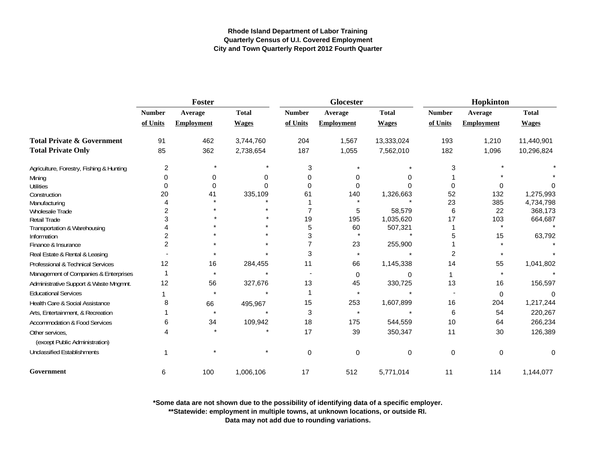|                                          | Foster         |                   |              |               | Glocester         |              | Hopkinton     |                   |              |
|------------------------------------------|----------------|-------------------|--------------|---------------|-------------------|--------------|---------------|-------------------|--------------|
|                                          | <b>Number</b>  | Average           | <b>Total</b> | <b>Number</b> | Average           | <b>Total</b> | <b>Number</b> | Average           | <b>Total</b> |
|                                          | of Units       | <b>Employment</b> | <b>Wages</b> | of Units      | <b>Employment</b> | <b>Wages</b> | of Units      | <b>Employment</b> | <b>Wages</b> |
| <b>Total Private &amp; Government</b>    | 91             | 462               | 3,744,760    | 204           | 1,567             | 13,333,024   | 193           | 1,210             | 11,440,901   |
| <b>Total Private Only</b>                | 85             | 362               | 2,738,654    | 187           | 1,055             | 7,562,010    | 182           | 1,096             | 10,296,824   |
| Agriculture, Forestry, Fishing & Hunting | 2              |                   |              | 3             |                   |              | 3             |                   |              |
| Mining                                   | 0              | 0                 | 0            | 0             | 0                 |              |               |                   |              |
| <b>Utilities</b>                         | $\Omega$       | $\Omega$          |              | $\Omega$      | $\Omega$          |              | n             |                   |              |
| Construction                             | 20             | 41                | 335,109      | 61            | 140               | 1,326,663    | 52            | 132               | 1,275,993    |
| Manufacturing                            |                |                   |              |               |                   |              | 23            | 385               | 4,734,798    |
| Wholesale Trade                          |                |                   |              |               | 5                 | 58,579       | 6             | 22                | 368,173      |
| Retail Trade                             |                |                   |              | 19            | 195               | 1,035,620    | 17            | 103               | 664,687      |
| Transportation & Warehousing             |                |                   |              | 5             | 60                | 507,321      |               |                   |              |
| Information                              |                |                   |              | 3             |                   |              | 5             | 15                | 63,792       |
| Finance & Insurance                      | $\overline{2}$ |                   |              |               | 23                | 255,900      |               |                   |              |
| Real Estate & Rental & Leasing           |                |                   |              | 3             | $\star$           |              | 2             |                   |              |
| Professional & Technical Services        | 12             | 16                | 284,455      | 11            | 66                | 1,145,338    | 14            | 55                | 1,041,802    |
| Management of Companies & Enterprises    |                |                   |              |               | 0                 |              |               |                   |              |
| Administrative Support & Waste Mngmnt.   | 12             | 56                | 327,676      | 13            | 45                | 330,725      | 13            | 16                | 156,597      |
| <b>Educational Services</b>              |                |                   |              |               | $\star$           |              |               | $\Omega$          | $\Omega$     |
| Health Care & Social Assistance          | 8              | 66                | 495,967      | 15            | 253               | 1,607,899    | 16            | 204               | 1,217,244    |
| Arts, Entertainment, & Recreation        |                |                   |              | 3             | $\star$           |              | 6             | 54                | 220,267      |
| <b>Accommodation &amp; Food Services</b> | 6              | 34                | 109,942      | 18            | 175               | 544,559      | 10            | 64                | 266,234      |
| Other services.                          |                |                   |              | 17            | 39                | 350,347      | 11            | 30                | 126,389      |
| (except Public Administration)           |                |                   |              |               |                   |              |               |                   |              |
| <b>Unclassified Establishments</b>       |                |                   |              | $\mathbf 0$   | $\mathbf 0$       | 0            | 0             | $\Omega$          | 0            |
| Government                               | 6              | 100               | 1,006,106    | 17            | 512               | 5,771,014    | 11            | 114               | 1,144,077    |

**\*Some data are not shown due to the possibility of identifying data of a specific employer.**

**\*\*Statewide: employment in multiple towns, at unknown locations, or outside RI.**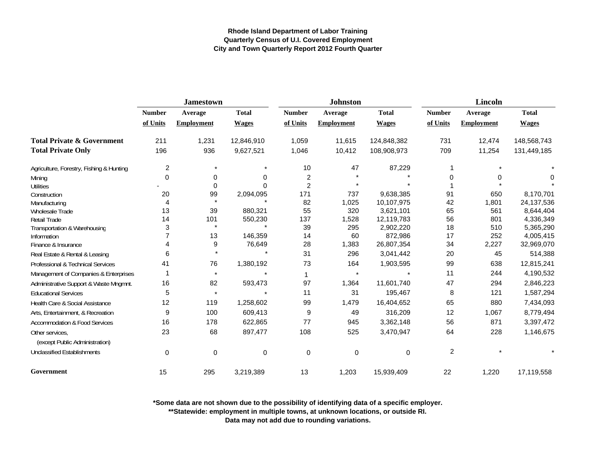|                                                   |                         | <b>Jamestown</b>  |              |                | <b>Johnston</b>   |              | <b>Lincoln</b> |                   |              |
|---------------------------------------------------|-------------------------|-------------------|--------------|----------------|-------------------|--------------|----------------|-------------------|--------------|
|                                                   | <b>Number</b>           | Average           | <b>Total</b> | <b>Number</b>  | Average           | <b>Total</b> | <b>Number</b>  | Average           | <b>Total</b> |
|                                                   | of Units                | <b>Employment</b> | <b>Wages</b> | of Units       | <b>Employment</b> | <b>Wages</b> | of Units       | <b>Employment</b> | <b>Wages</b> |
| <b>Total Private &amp; Government</b>             | 211                     | 1,231             | 12,846,910   | 1,059          | 11,615            | 124,848,382  | 731            | 12,474            | 148,568,743  |
| <b>Total Private Only</b>                         | 196                     | 936               | 9,627,521    | 1,046          | 10,412            | 108,908,973  | 709            | 11,254            | 131,449,185  |
| Agriculture, Forestry, Fishing & Hunting          | $\overline{\mathbf{c}}$ | $\star$           |              | 10             | 47                | 87,229       |                |                   |              |
| Mining                                            | $\Omega$                | 0                 | 0            | 2              |                   |              | O              | 0                 |              |
| <b>Utilities</b>                                  |                         | $\Omega$          |              | $\overline{2}$ |                   |              |                |                   |              |
| Construction                                      | 20                      | 99                | 2,094,095    | 171            | 737               | 9,638,385    | 91             | 650               | 8,170,701    |
| Manufacturing                                     | 4                       | $\star$           |              | 82             | 1,025             | 10,107,975   | 42             | 1,801             | 24, 137, 536 |
| <b>Wholesale Trade</b>                            | 13                      | 39                | 880,321      | 55             | 320               | 3,621,101    | 65             | 561               | 8,644,404    |
| <b>Retail Trade</b>                               | 14                      | 101               | 550,230      | 137            | 1,528             | 12,119,783   | 56             | 801               | 4,336,349    |
| Transportation & Warehousing                      | 3                       | $\star$           |              | 39             | 295               | 2,902,220    | 18             | 510               | 5,365,290    |
| Information                                       |                         | 13                | 146,359      | 14             | 60                | 872,986      | 17             | 252               | 4,005,415    |
| Finance & Insurance                               | 4                       | 9                 | 76,649       | 28             | 1,383             | 26,807,354   | 34             | 2,227             | 32,969,070   |
| Real Estate & Rental & Leasing                    | 6                       | $\star$           |              | 31             | 296               | 3,041,442    | 20             | 45                | 514,388      |
| Professional & Technical Services                 | 41                      | 76                | 1,380,192    | 73             | 164               | 1,903,595    | 99             | 638               | 12,815,241   |
| Management of Companies & Enterprises             |                         | $\star$           |              | 1              | $\star$           |              | 11             | 244               | 4,190,532    |
| Administrative Support & Waste Mngmnt.            | 16                      | 82                | 593,473      | 97             | 1,364             | 11.601.740   | 47             | 294               | 2,846,223    |
| <b>Educational Services</b>                       | 5                       | $\star$           |              | 11             | 31                | 195,467      | 8              | 121               | 1,587,294    |
| Health Care & Social Assistance                   | 12                      | 119               | 1,258,602    | 99             | 1,479             | 16,404,652   | 65             | 880               | 7,434,093    |
| Arts, Entertainment, & Recreation                 | 9                       | 100               | 609,413      | 9              | 49                | 316,209      | 12             | 1,067             | 8,779,494    |
| Accommodation & Food Services                     | 16                      | 178               | 622,865      | 77             | 945               | 3,362,148    | 56             | 871               | 3,397,472    |
| Other services.<br>(except Public Administration) | 23                      | 68                | 897,477      | 108            | 525               | 3,470,947    | 64             | 228               | 1,146,675    |
| <b>Unclassified Establishments</b>                | 0                       | $\mathbf 0$       | 0            | $\mathbf 0$    | 0                 | 0            | $\overline{c}$ |                   |              |
| Government                                        | 15                      | 295               | 3,219,389    | 13             | 1,203             | 15,939,409   | 22             | 1,220             | 17,119,558   |

**\*Some data are not shown due to the possibility of identifying data of a specific employer.**

**\*\*Statewide: employment in multiple towns, at unknown locations, or outside RI.**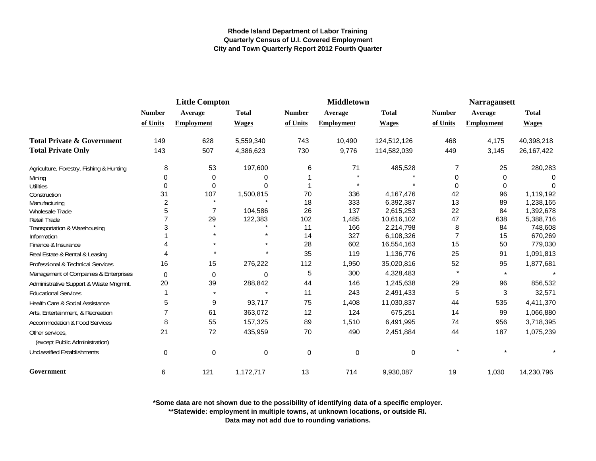|                                                   | <b>Little Compton</b> |                   |              |               | <b>Middletown</b> |              | <b>Narragansett</b> |                   |              |
|---------------------------------------------------|-----------------------|-------------------|--------------|---------------|-------------------|--------------|---------------------|-------------------|--------------|
|                                                   | <b>Number</b>         | Average           | <b>Total</b> | <b>Number</b> | Average           | <b>Total</b> | <b>Number</b>       | Average           | <b>Total</b> |
|                                                   | of Units              | <b>Employment</b> | <b>Wages</b> | of Units      | <b>Employment</b> | <b>Wages</b> | of Units            | <b>Employment</b> | <b>Wages</b> |
| <b>Total Private &amp; Government</b>             | 149                   | 628               | 5,559,340    | 743           | 10,490            | 124,512,126  | 468                 | 4,175             | 40,398,218   |
| <b>Total Private Only</b>                         | 143                   | 507               | 4,386,623    | 730           | 9,776             | 114,582,039  | 449                 | 3,145             | 26, 167, 422 |
| Agriculture, Forestry, Fishing & Hunting          | 8                     | 53                | 197,600      | 6             | 71                | 485,528      | $\overline{7}$      | 25                | 280,283      |
| Mining                                            | 0                     | $\mathbf 0$       | 0            |               |                   |              | 0                   | 0                 | 0            |
| <b>Utilities</b>                                  | 0                     | $\mathbf 0$       | $\Omega$     |               |                   |              | $\Omega$            | 0                 | O            |
| Construction                                      | 31                    | 107               | 1,500,815    | 70            | 336               | 4,167,476    | 42                  | 96                | 1,119,192    |
| Manufacturing                                     | 2                     |                   |              | 18            | 333               | 6,392,387    | 13                  | 89                | 1,238,165    |
| Wholesale Trade                                   | 5                     | $\overline{7}$    | 104,586      | 26            | 137               | 2,615,253    | 22                  | 84                | 1,392,678    |
| <b>Retail Trade</b>                               |                       | 29                | 122,383      | 102           | 1,485             | 10,616,102   | 47                  | 638               | 5,388,716    |
| Transportation & Warehousing                      |                       |                   |              | 11            | 166               | 2,214,798    | 8                   | 84                | 748,608      |
| Information                                       |                       |                   |              | 14            | 327               | 6,108,326    | $\overline{7}$      | 15                | 670,269      |
| Finance & Insurance                               |                       |                   |              | 28            | 602               | 16,554,163   | 15                  | 50                | 779,030      |
| Real Estate & Rental & Leasing                    |                       |                   |              | 35            | 119               | 1,136,776    | 25                  | 91                | 1,091,813    |
| Professional & Technical Services                 | 16                    | 15                | 276,222      | 112           | 1,950             | 35,020,816   | 52                  | 95                | 1,877,681    |
| Management of Companies & Enterprises             | 0                     | 0                 | 0            | 5             | 300               | 4,328,483    | $\star$             | $\star$           |              |
| Administrative Support & Waste Mngmnt.            | 20                    | 39                | 288,842      | 44            | 146               | 1,245,638    | 29                  | 96                | 856,532      |
| <b>Educational Services</b>                       |                       | $\star$           | $\star$      | 11            | 243               | 2,491,433    | 5                   | 3                 | 32,571       |
| Health Care & Social Assistance                   | 5                     | 9                 | 93,717       | 75            | 1,408             | 11,030,837   | 44                  | 535               | 4,411,370    |
| Arts, Entertainment, & Recreation                 |                       | 61                | 363,072      | 12            | 124               | 675,251      | 14                  | 99                | 1,066,880    |
| <b>Accommodation &amp; Food Services</b>          | 8                     | 55                | 157,325      | 89            | 1,510             | 6,491,995    | 74                  | 956               | 3,718,395    |
| Other services,<br>(except Public Administration) | 21                    | 72                | 435,959      | 70            | 490               | 2,451,884    | 44                  | 187               | 1,075,239    |
| <b>Unclassified Establishments</b>                | $\mathbf 0$           | $\mathbf 0$       | 0            | $\mathbf 0$   | $\mathbf 0$       | 0            |                     |                   |              |
| Government                                        | 6                     | 121               | 1,172,717    | 13            | 714               | 9,930,087    | 19                  | 1,030             | 14,230,796   |

**\*Some data are not shown due to the possibility of identifying data of a specific employer.**

**\*\*Statewide: employment in multiple towns, at unknown locations, or outside RI.**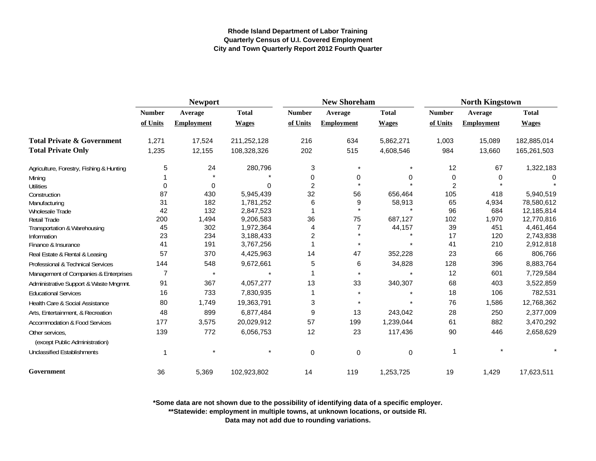|                                          |                | <b>Newport</b>    |              |                | <b>New Shoreham</b> |              | <b>North Kingstown</b> |                   |              |
|------------------------------------------|----------------|-------------------|--------------|----------------|---------------------|--------------|------------------------|-------------------|--------------|
|                                          | <b>Number</b>  | Average           | <b>Total</b> | <b>Number</b>  | Average             | <b>Total</b> | <b>Number</b>          | Average           | <b>Total</b> |
|                                          | of Units       | <b>Employment</b> | <b>Wages</b> | of Units       | <b>Employment</b>   | <b>Wages</b> | of Units               | <b>Employment</b> | <b>Wages</b> |
| <b>Total Private &amp; Government</b>    | 1,271          | 17,524            | 211,252,128  | 216            | 634                 | 5,862,271    | 1,003                  | 15,089            | 182,885,014  |
| <b>Total Private Only</b>                | 1,235          | 12,155            | 108,328,326  | 202            | 515                 | 4,608,546    | 984                    | 13,660            | 165,261,503  |
| Agriculture, Forestry, Fishing & Hunting | 5              | 24                | 280,796      | 3              |                     |              | 12                     | 67                | 1,322,183    |
| Mining                                   |                |                   |              | 0              | 0                   | 0            | 0                      | 0                 | 0            |
| <b>Utilities</b>                         | 0              | $\Omega$          | 0            | $\overline{2}$ |                     |              | $\overline{2}$         |                   |              |
| Construction                             | 87             | 430               | 5,945,439    | 32             | 56                  | 656,464      | 105                    | 418               | 5,940,519    |
| Manufacturing                            | 31             | 182               | 1,781,252    | 6              | 9                   | 58,913       | 65                     | 4,934             | 78,580,612   |
| <b>Wholesale Trade</b>                   | 42             | 132               | 2,847,523    |                |                     | $\star$      | 96                     | 684               | 12,185,814   |
| Retail Trade                             | 200            | 1,494             | 9,206,583    | 36             | 75                  | 687,127      | 102                    | 1,970             | 12,770,816   |
| Transportation & Warehousing             | 45             | 302               | 1,972,364    | $\overline{A}$ | $\overline{7}$      | 44,157       | 39                     | 451               | 4,461,464    |
| Information                              | 23             | 234               | 3,188,433    | $\overline{2}$ |                     |              | 17                     | 120               | 2,743,838    |
| Finance & Insurance                      | 41             | 191               | 3,767,256    |                |                     |              | 41                     | 210               | 2,912,818    |
| Real Estate & Rental & Leasing           | 57             | 370               | 4,425,963    | 14             | 47                  | 352,228      | 23                     | 66                | 806,766      |
| Professional & Technical Services        | 144            | 548               | 9,672,661    | 5              | 6                   | 34,828       | 128                    | 396               | 8,883,764    |
| Management of Companies & Enterprises    | $\overline{7}$ | $\star$           |              |                |                     |              | 12                     | 601               | 7,729,584    |
| Administrative Support & Waste Mngmnt.   | 91             | 367               | 4,057,277    | 13             | 33                  | 340,307      | 68                     | 403               | 3,522,859    |
| <b>Educational Services</b>              | 16             | 733               | 7,830,935    |                |                     |              | 18                     | 106               | 782,531      |
| Health Care & Social Assistance          | 80             | 1,749             | 19,363,791   | 3              |                     |              | 76                     | 1,586             | 12,768,362   |
| Arts, Entertainment, & Recreation        | 48             | 899               | 6,877,484    | 9              | 13                  | 243,042      | 28                     | 250               | 2,377,009    |
| Accommodation & Food Services            | 177            | 3,575             | 20,029,912   | 57             | 199                 | 1,239,044    | 61                     | 882               | 3,470,292    |
| Other services,                          | 139            | 772               | 6,056,753    | 12             | 23                  | 117,436      | 90                     | 446               | 2,658,629    |
| (except Public Administration)           |                |                   |              |                |                     |              |                        |                   |              |
| <b>Unclassified Establishments</b>       |                |                   |              | 0              | $\mathbf 0$         | 0            | $\mathbf 1$            |                   |              |
| Government                               | 36             | 5,369             | 102,923,802  | 14             | 119                 | 1,253,725    | 19                     | 1,429             | 17,623,511   |

**\*Some data are not shown due to the possibility of identifying data of a specific employer.**

**\*\*Statewide: employment in multiple towns, at unknown locations, or outside RI.**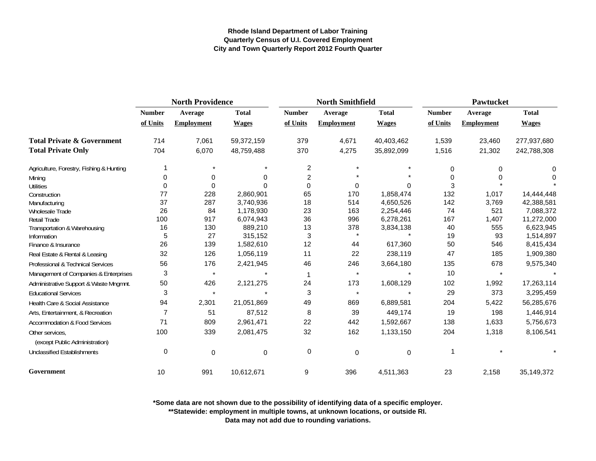|                                          | <b>North Providence</b> |                   |              |                           | <b>North Smithfield</b> |              | Pawtucket     |                   |              |
|------------------------------------------|-------------------------|-------------------|--------------|---------------------------|-------------------------|--------------|---------------|-------------------|--------------|
|                                          | <b>Number</b>           | Average           | <b>Total</b> | <b>Number</b>             | Average                 | <b>Total</b> | <b>Number</b> | Average           | <b>Total</b> |
|                                          | of Units                | <b>Employment</b> | <b>Wages</b> | of Units                  | <b>Employment</b>       | <b>Wages</b> | of Units      | <b>Employment</b> | <b>Wages</b> |
| <b>Total Private &amp; Government</b>    | 714                     | 7,061             | 59,372,159   | 379                       | 4,671                   | 40,403,462   | 1,539         | 23,460            | 277,937,680  |
| <b>Total Private Only</b>                | 704                     | 6,070             | 48,759,488   | 370                       | 4,275                   | 35,892,099   | 1,516         | 21,302            | 242,788,308  |
| Agriculture, Forestry, Fishing & Hunting |                         |                   |              | 2                         | $\star$                 |              | 0             | 0                 | 0            |
| Mining                                   | 0                       | 0                 | 0            | $\overline{c}$            |                         |              | $\Omega$      | 0                 | 0            |
| <b>Utilities</b>                         | 0                       | $\mathbf 0$       | 0            | $\Omega$                  | 0                       | $\Omega$     | 3             |                   |              |
| Construction                             | 77                      | 228               | 2,860,901    | 65                        | 170                     | 1,858,474    | 132           | 1,017             | 14,444,448   |
| Manufacturing                            | 37                      | 287               | 3,740,936    | 18                        | 514                     | 4,650,526    | 142           | 3,769             | 42,388,581   |
| Wholesale Trade                          | 26                      | 84                | 1,178,930    | 23                        | 163                     | 2,254,446    | 74            | 521               | 7,088,372    |
| Retail Trade                             | 100                     | 917               | 6,074,943    | 36                        | 996                     | 6,278,261    | 167           | 1,407             | 11,272,000   |
| Transportation & Warehousing             | 16                      | 130               | 889,210      | 13                        | 378                     | 3,834,138    | 40            | 555               | 6,623,945    |
| Information                              | 5                       | 27                | 315,152      | $\ensuremath{\mathsf{3}}$ |                         |              | 19            | 93                | 1,514,897    |
| Finance & Insurance                      | 26                      | 139               | 1,582,610    | 12                        | 44                      | 617,360      | 50            | 546               | 8,415,434    |
| Real Estate & Rental & Leasing           | 32                      | 126               | 1,056,119    | 11                        | 22                      | 238,119      | 47            | 185               | 1,909,380    |
| Professional & Technical Services        | 56                      | 176               | 2,421,945    | 46                        | 246                     | 3,664,180    | 135           | 678               | 9,575,340    |
| Management of Companies & Enterprises    | 3                       | $\star$           |              | $\mathbf 1$               | $\star$                 |              | 10            | $\star$           |              |
| Administrative Support & Waste Mngmnt.   | 50                      | 426               | 2,121,275    | 24                        | 173                     | 1,608,129    | 102           | 1,992             | 17,263,114   |
| <b>Educational Services</b>              | 3                       | $\star$           |              | 3                         | $\star$                 |              | 29            | 373               | 3,295,459    |
| Health Care & Social Assistance          | 94                      | 2,301             | 21,051,869   | 49                        | 869                     | 6,889,581    | 204           | 5,422             | 56,285,676   |
| Arts, Entertainment, & Recreation        | 7                       | 51                | 87,512       | 8                         | 39                      | 449,174      | 19            | 198               | 1,446,914    |
| Accommodation & Food Services            | 71                      | 809               | 2,961,471    | 22                        | 442                     | 1,592,667    | 138           | 1,633             | 5,756,673    |
| Other services,                          | 100                     | 339               | 2,081,475    | 32                        | 162                     | 1,133,150    | 204           | 1,318             | 8,106,541    |
| (except Public Administration)           |                         |                   |              |                           |                         |              |               |                   |              |
| <b>Unclassified Establishments</b>       | $\mathbf 0$             | $\pmb{0}$         | $\pmb{0}$    | 0                         | $\mathbf 0$             | $\mathbf 0$  |               |                   |              |
| Government                               | 10                      | 991               | 10,612,671   | 9                         | 396                     | 4,511,363    | 23            | 2,158             | 35,149,372   |

**\*Some data are not shown due to the possibility of identifying data of a specific employer.**

**\*\*Statewide: employment in multiple towns, at unknown locations, or outside RI.**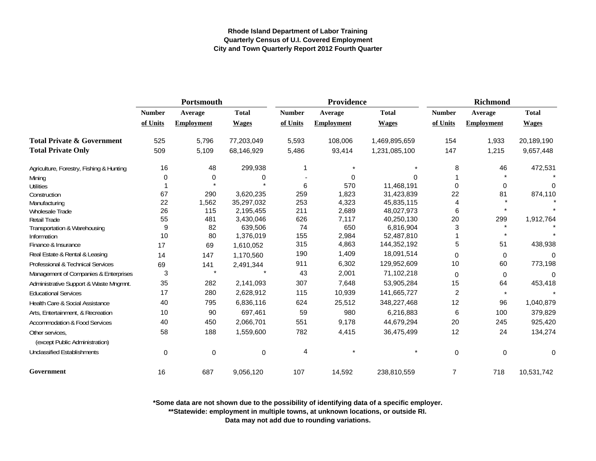|                                          | Portsmouth    |                   |              |               | Providence        |               | <b>Richmond</b> |                   |              |
|------------------------------------------|---------------|-------------------|--------------|---------------|-------------------|---------------|-----------------|-------------------|--------------|
|                                          | <b>Number</b> | Average           | <b>Total</b> | <b>Number</b> | Average           | <b>Total</b>  | <b>Number</b>   | Average           | <b>Total</b> |
|                                          | of Units      | <b>Employment</b> | <b>Wages</b> | of Units      | <b>Employment</b> | <b>Wages</b>  | of Units        | <b>Employment</b> | <b>Wages</b> |
| <b>Total Private &amp; Government</b>    | 525           | 5,796             | 77,203,049   | 5,593         | 108,006           | 1,469,895,659 | 154             | 1,933             | 20,189,190   |
| <b>Total Private Only</b>                | 509           | 5,109             | 68,146,929   | 5,486         | 93,414            | 1,231,085,100 | 147             | 1,215             | 9,657,448    |
| Agriculture, Forestry, Fishing & Hunting | 16            | 48                | 299,938      | 1             |                   |               | 8               | 46                | 472,531      |
| Mining                                   | $\Omega$      | 0                 | 0            |               | 0                 | $\Omega$      |                 |                   |              |
| <b>Utilities</b>                         |               |                   |              | 6             | 570               | 11,468,191    | 0               | 0                 | $\Omega$     |
| Construction                             | 67            | 290               | 3,620,235    | 259           | 1,823             | 31,423,839    | 22              | 81                | 874,110      |
| Manufacturing                            | 22            | 1,562             | 35,297,032   | 253           | 4,323             | 45,835,115    | 4               |                   |              |
| Wholesale Trade                          | 26            | 115               | 2,195,455    | 211           | 2,689             | 48,027,973    | 6               |                   |              |
| <b>Retail Trade</b>                      | 55            | 481               | 3,430,046    | 626           | 7,117             | 40,250,130    | 20              | 299               | 1,912,764    |
| Transportation & Warehousing             | 9             | 82                | 639,506      | 74            | 650               | 6,816,904     | 3               |                   |              |
| Information                              | 10            | 80                | 1,376,019    | 155           | 2,984             | 52,487,810    |                 | $\star$           |              |
| Finance & Insurance                      | 17            | 69                | 1,610,052    | 315           | 4,863             | 144,352,192   | 5               | 51                | 438,938      |
| Real Estate & Rental & Leasing           | 14            | 147               | 1,170,560    | 190           | 1,409             | 18,091,514    | 0               | $\mathbf 0$       | $\Omega$     |
| Professional & Technical Services        | 69            | 141               | 2,491,344    | 911           | 6,302             | 129,952,609   | 10              | 60                | 773,198      |
| Management of Companies & Enterprises    | 3             | $\star$           |              | 43            | 2,001             | 71,102,218    | 0               | $\mathbf 0$       | $\Omega$     |
| Administrative Support & Waste Mngmnt.   | 35            | 282               | 2,141,093    | 307           | 7,648             | 53,905,284    | 15              | 64                | 453,418      |
| <b>Educational Services</b>              | 17            | 280               | 2,628,912    | 115           | 10,939            | 141,665,727   | $\overline{c}$  | $\star$           |              |
| Health Care & Social Assistance          | 40            | 795               | 6,836,116    | 624           | 25,512            | 348,227,468   | 12              | 96                | 1,040,879    |
| Arts, Entertainment, & Recreation        | 10            | 90                | 697,461      | 59            | 980               | 6,216,883     | 6               | 100               | 379,829      |
| Accommodation & Food Services            | 40            | 450               | 2,066,701    | 551           | 9,178             | 44,679,294    | 20              | 245               | 925,420      |
| Other services,                          | 58            | 188               | 1,559,600    | 782           | 4,415             | 36,475,499    | 12              | 24                | 134,274      |
| (except Public Administration)           |               |                   |              |               |                   |               |                 |                   |              |
| Unclassified Establishments              | $\pmb{0}$     | $\mathbf 0$       | $\pmb{0}$    | 4             |                   |               | $\mathbf 0$     | $\pmb{0}$         | 0            |
| Government                               | 16            | 687               | 9,056,120    | 107           | 14,592            | 238,810,559   | $\overline{7}$  | 718               | 10,531,742   |

**\*Some data are not shown due to the possibility of identifying data of a specific employer.**

**\*\*Statewide: employment in multiple towns, at unknown locations, or outside RI.**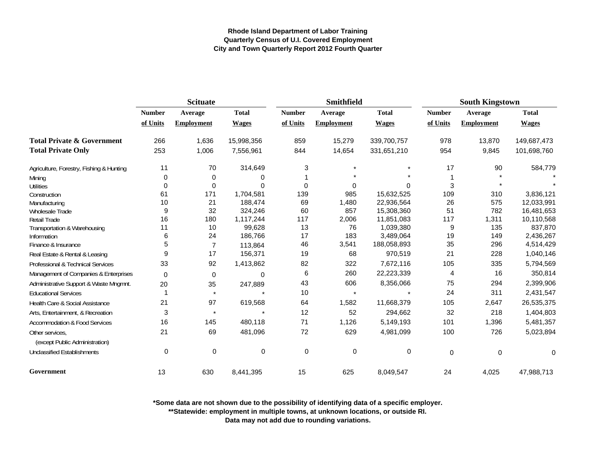|                                                   | <b>Scituate</b> |                   |              |               | <b>Smithfield</b> |              | <b>South Kingstown</b> |                   |              |
|---------------------------------------------------|-----------------|-------------------|--------------|---------------|-------------------|--------------|------------------------|-------------------|--------------|
|                                                   | <b>Number</b>   | Average           | <b>Total</b> | <b>Number</b> | Average           | <b>Total</b> | <b>Number</b>          | Average           | <b>Total</b> |
|                                                   | of Units        | <b>Employment</b> | <b>Wages</b> | of Units      | Employment        | <b>Wages</b> | of Units               | <b>Employment</b> | <b>Wages</b> |
| <b>Total Private &amp; Government</b>             | 266             | 1,636             | 15,998,356   | 859           | 15,279            | 339,700,757  | 978                    | 13,870            | 149,687,473  |
| <b>Total Private Only</b>                         | 253             | 1,006             | 7,556,961    | 844           | 14,654            | 331,651,210  | 954                    | 9,845             | 101,698,760  |
| Agriculture, Forestry, Fishing & Hunting          | 11              | 70                | 314,649      | 3             |                   |              | 17                     | 90                | 584,779      |
| Mining                                            | 0               | 0                 | 0            |               |                   |              |                        |                   |              |
| <b>Utilities</b>                                  | $\Omega$        | 0                 | $\Omega$     | 0             | $\Omega$          | $\Omega$     | 3                      |                   |              |
| Construction                                      | 61              | 171               | 1,704,581    | 139           | 985               | 15,632,525   | 109                    | 310               | 3,836,121    |
| Manufacturing                                     | 10              | 21                | 188,474      | 69            | 1,480             | 22,936,564   | 26                     | 575               | 12,033,991   |
| Wholesale Trade                                   | 9               | 32                | 324,246      | 60            | 857               | 15,308,360   | 51                     | 782               | 16,481,653   |
| Retail Trade                                      | 16              | 180               | 1,117,244    | 117           | 2,006             | 11,851,083   | 117                    | 1,311             | 10,110,568   |
| Transportation & Warehousing                      | 11              | 10                | 99,628       | 13            | 76                | 1,039,380    | 9                      | 135               | 837,870      |
| Information                                       | 6               | 24                | 186,766      | 17            | 183               | 3,489,064    | 19                     | 149               | 2,436,267    |
| Finance & Insurance                               | 5               | $\overline{7}$    | 113,864      | 46            | 3,541             | 188,058,893  | 35                     | 296               | 4,514,429    |
| Real Estate & Rental & Leasing                    | 9               | 17                | 156,371      | 19            | 68                | 970,519      | 21                     | 228               | 1,040,146    |
| Professional & Technical Services                 | 33              | 92                | 1,413,862    | 82            | 322               | 7,672,116    | 105                    | 335               | 5,794,569    |
| Management of Companies & Enterprises             | $\Omega$        | $\mathbf 0$       | $\Omega$     | 6             | 260               | 22,223,339   | 4                      | 16                | 350,814      |
| Administrative Support & Waste Mngmnt.            | 20              | 35                | 247,889      | 43            | 606               | 8,356,066    | 75                     | 294               | 2,399,906    |
| <b>Educational Services</b>                       | 1               | $\pmb{\star}$     |              | 10            | $\star$           |              | 24                     | 311               | 2,431,547    |
| Health Care & Social Assistance                   | 21              | 97                | 619,568      | 64            | 1,582             | 11,668,379   | 105                    | 2,647             | 26,535,375   |
| Arts, Entertainment, & Recreation                 | 3               | $\star$           |              | 12            | 52                | 294,662      | 32                     | 218               | 1,404,803    |
| Accommodation & Food Services                     | 16              | 145               | 480,118      | 71            | 1,126             | 5,149,193    | 101                    | 1,396             | 5,481,357    |
| Other services.<br>(except Public Administration) | 21              | 69                | 481,096      | 72            | 629               | 4,981,099    | 100                    | 726               | 5,023,894    |
| Unclassified Establishments                       | 0               | 0                 | 0            | $\mathbf 0$   | 0                 | 0            | $\mathbf 0$            | 0                 | 0            |
| Government                                        | 13              | 630               | 8,441,395    | 15            | 625               | 8,049,547    | 24                     | 4,025             | 47,988,713   |

**\*Some data are not shown due to the possibility of identifying data of a specific employer.**

**\*\*Statewide: employment in multiple towns, at unknown locations, or outside RI.**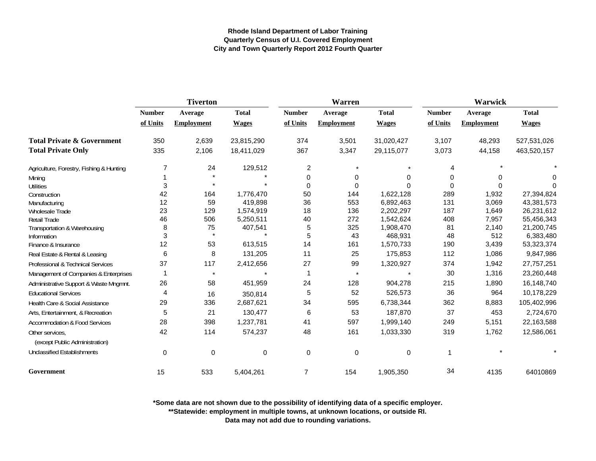|                                                   |               | <b>Tiverton</b>   |              |               | Warren            |              | <b>Warwick</b> |                   |              |  |
|---------------------------------------------------|---------------|-------------------|--------------|---------------|-------------------|--------------|----------------|-------------------|--------------|--|
|                                                   | <b>Number</b> | Average           | <b>Total</b> | <b>Number</b> | Average           | <b>Total</b> | <b>Number</b>  | Average           | <b>Total</b> |  |
|                                                   | of Units      | <b>Employment</b> | <b>Wages</b> | of Units      | <b>Employment</b> | <b>Wages</b> | of Units       | <b>Employment</b> | <b>Wages</b> |  |
| <b>Total Private &amp; Government</b>             | 350           | 2,639             | 23,815,290   | 374           | 3,501             | 31,020,427   | 3,107          | 48,293            | 527,531,026  |  |
| <b>Total Private Only</b>                         | 335           | 2,106             | 18,411,029   | 367           | 3,347             | 29,115,077   | 3,073          | 44,158            | 463,520,157  |  |
| Agriculture, Forestry, Fishing & Hunting          | 7             | 24                | 129,512      | 2             |                   |              |                |                   |              |  |
| Mining                                            |               |                   |              | 0             | 0                 | 0            | $\Omega$       |                   | 0            |  |
| <b>Utilities</b>                                  | 3             |                   |              | $\Omega$      | $\Omega$          |              | $\Omega$       | O                 | $\Omega$     |  |
| Construction                                      | 42            | 164               | 1,776,470    | 50            | 144               | 1,622,128    | 289            | 1,932             | 27,394,824   |  |
| Manufacturing                                     | 12            | 59                | 419,898      | 36            | 553               | 6,892,463    | 131            | 3,069             | 43,381,573   |  |
| Wholesale Trade                                   | 23            | 129               | 1,574,919    | 18            | 136               | 2,202,297    | 187            | 1,649             | 26,231,612   |  |
| <b>Retail Trade</b>                               | 46            | 506               | 5,250,511    | 40            | 272               | 1,542,624    | 408            | 7,957             | 55,456,343   |  |
| Transportation & Warehousing                      | 8             | 75                | 407,541      | 5             | 325               | 1,908,470    | 81             | 2,140             | 21,200,745   |  |
| Information                                       | 3             | $\star$           |              | 5             | 43                | 468,931      | 48             | 512               | 6,383,480    |  |
| Finance & Insurance                               | 12            | 53                | 613,515      | 14            | 161               | 1,570,733    | 190            | 3,439             | 53,323,374   |  |
| Real Estate & Rental & Leasing                    | 6             | $\bf 8$           | 131,205      | 11            | 25                | 175,853      | 112            | 1,086             | 9,847,986    |  |
| Professional & Technical Services                 | 37            | 117               | 2,412,656    | 27            | 99                | 1,320,927    | 374            | 1,942             | 27,757,251   |  |
| Management of Companies & Enterprises             |               | $\star$           |              | 1             | $\star$           |              | 30             | 1,316             | 23,260,448   |  |
| Administrative Support & Waste Mngmnt.            | 26            | 58                | 451,959      | 24            | 128               | 904,278      | 215            | 1,890             | 16,148,740   |  |
| <b>Educational Services</b>                       | 4             | 16                | 350,814      | 5             | 52                | 526,573      | 36             | 964               | 10,178,229   |  |
| Health Care & Social Assistance                   | 29            | 336               | 2,687,621    | 34            | 595               | 6,738,344    | 362            | 8,883             | 105,402,996  |  |
| Arts, Entertainment, & Recreation                 | 5             | 21                | 130,477      | 6             | 53                | 187,870      | 37             | 453               | 2,724,670    |  |
| <b>Accommodation &amp; Food Services</b>          | 28            | 398               | 1,237,781    | 41            | 597               | 1,999,140    | 249            | 5,151             | 22,163,588   |  |
| Other services,<br>(except Public Administration) | 42            | 114               | 574,237      | 48            | 161               | 1,033,330    | 319            | 1,762             | 12,586,061   |  |
| <b>Unclassified Establishments</b>                | 0             | $\mathbf 0$       | 0            | $\mathbf 0$   | 0                 | 0            | -1             |                   |              |  |
| Government                                        | 15            | 533               | 5,404,261    | 7             | 154               | 1,905,350    | 34             | 4135              | 64010869     |  |

**\*Some data are not shown due to the possibility of identifying data of a specific employer.**

**\*\*Statewide: employment in multiple towns, at unknown locations, or outside RI.**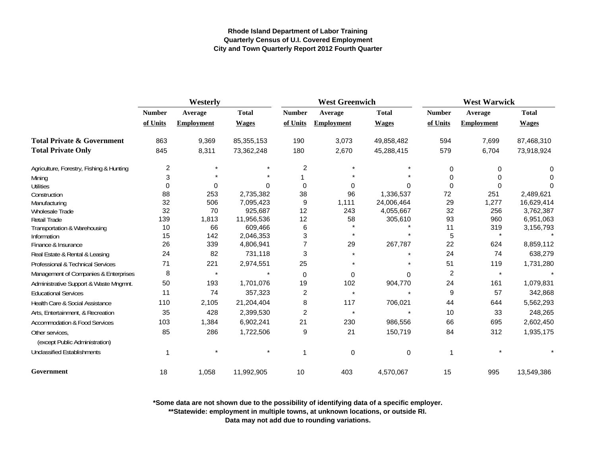|                                                   | Westerly      |                   |              |                | <b>West Greenwich</b> |              |                | <b>West Warwick</b> |              |  |
|---------------------------------------------------|---------------|-------------------|--------------|----------------|-----------------------|--------------|----------------|---------------------|--------------|--|
|                                                   | <b>Number</b> | Average           | <b>Total</b> | <b>Number</b>  | Average               | <b>Total</b> | <b>Number</b>  | Average             | <b>Total</b> |  |
|                                                   | of Units      | <b>Employment</b> | <b>Wages</b> | of Units       | <b>Employment</b>     | <b>Wages</b> | of Units       | <b>Employment</b>   | <b>Wages</b> |  |
| <b>Total Private &amp; Government</b>             | 863           | 9,369             | 85, 355, 153 | 190            | 3,073                 | 49,858,482   | 594            | 7,699               | 87,468,310   |  |
| <b>Total Private Only</b>                         | 845           | 8,311             | 73,362,248   | 180            | 2,670                 | 45,288,415   | 579            | 6,704               | 73,918,924   |  |
| Agriculture, Forestry, Fishing & Hunting          | 2             |                   |              | 2              |                       |              | 0              | 0                   | 0            |  |
| Mining                                            | 3             |                   |              |                |                       |              | 0              | 0                   | O            |  |
| <b>Utilities</b>                                  | 0             | 0                 | U            | 0              |                       | $\Omega$     | $\Omega$       | 0                   | O            |  |
| Construction                                      | 88            | 253               | 2,735,382    | 38             | 96                    | 1,336,537    | 72             | 251                 | 2,489,621    |  |
| Manufacturing                                     | 32            | 506               | 7,095,423    | 9              | 1,111                 | 24,006,464   | 29             | 1,277               | 16,629,414   |  |
| <b>Wholesale Trade</b>                            | 32            | 70                | 925,687      | 12             | 243                   | 4,055,667    | 32             | 256                 | 3,762,387    |  |
| Retail Trade                                      | 139           | 1,813             | 11,956,536   | 12             | 58                    | 305,610      | 93             | 960                 | 6,951,063    |  |
| Transportation & Warehousing                      | 10            | 66                | 609,466      | 6              |                       |              | 11             | 319                 | 3,156,793    |  |
| Information                                       | 15            | 142               | 2,046,353    | 3              |                       |              | 5              |                     |              |  |
| Finance & Insurance                               | 26            | 339               | 4,806,941    | $\overline{7}$ | 29                    | 267,787      | 22             | 624                 | 8,859,112    |  |
| Real Estate & Rental & Leasing                    | 24            | 82                | 731,118      | 3              |                       |              | 24             | 74                  | 638,279      |  |
| Professional & Technical Services                 | 71            | 221               | 2,974,551    | 25             |                       |              | 51             | 119                 | 1,731,280    |  |
| Management of Companies & Enterprises             | 8             | $\star$           |              | $\mathbf 0$    | $\Omega$              | U            | $\overline{c}$ | $\star$             |              |  |
| Administrative Support & Waste Mngmnt.            | 50            | 193               | 1,701,076    | 19             | 102                   | 904,770      | 24             | 161                 | 1,079,831    |  |
| <b>Educational Services</b>                       | 11            | 74                | 357,323      | 2              | $\star$               |              | 9              | 57                  | 342,868      |  |
| Health Care & Social Assistance                   | 110           | 2,105             | 21,204,404   | 8              | 117                   | 706,021      | 44             | 644                 | 5,562,293    |  |
| Arts, Entertainment, & Recreation                 | 35            | 428               | 2,399,530    | $\overline{2}$ |                       |              | 10             | 33                  | 248,265      |  |
| <b>Accommodation &amp; Food Services</b>          | 103           | 1,384             | 6,902,241    | 21             | 230                   | 986,556      | 66             | 695                 | 2,602,450    |  |
| Other services.<br>(except Public Administration) | 85            | 286               | 1,722,506    | 9              | 21                    | 150,719      | 84             | 312                 | 1,935,175    |  |
| Unclassified Establishments                       | 1             |                   |              | 1              | 0                     | 0            |                |                     |              |  |
| Government                                        | 18            | 1,058             | 11,992,905   | 10             | 403                   | 4,570,067    | 15             | 995                 | 13,549,386   |  |

**\*Some data are not shown due to the possibility of identifying data of a specific employer.**

**\*\*Statewide: employment in multiple towns, at unknown locations, or outside RI.**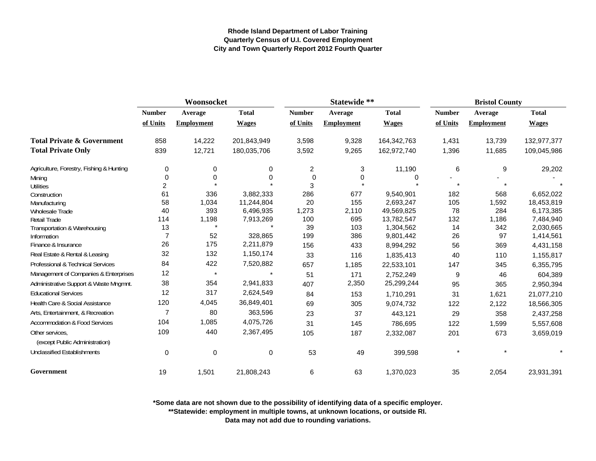|                                                   | Woonsocket     |                   |              |                | Statewide **      |              | <b>Bristol County</b> |                   |              |  |
|---------------------------------------------------|----------------|-------------------|--------------|----------------|-------------------|--------------|-----------------------|-------------------|--------------|--|
|                                                   | <b>Number</b>  | <b>Average</b>    | <b>Total</b> | <b>Number</b>  | Average           | <b>Total</b> | <b>Number</b>         | Average           | <b>Total</b> |  |
|                                                   | of Units       | <b>Employment</b> | <b>Wages</b> | of Units       | <b>Employment</b> | <b>Wages</b> | of Units              | <b>Employment</b> | <b>Wages</b> |  |
| <b>Total Private &amp; Government</b>             | 858            | 14,222            | 201,843,949  | 3,598          | 9,328             | 164,342,763  | 1,431                 | 13,739            | 132,977,377  |  |
| <b>Total Private Only</b>                         | 839            | 12,721            | 180,035,706  | 3,592          | 9,265             | 162,972,740  | 1,396                 | 11,685            | 109,045,986  |  |
| Agriculture, Forestry, Fishing & Hunting          | 0              | 0                 | 0            | $\overline{c}$ | 3                 | 11,190       | 6                     | 9                 | 29,202       |  |
| Mining                                            | $\mathbf 0$    | $\Omega$          | $\Omega$     | $\mathbf 0$    | 0                 | 0            |                       |                   |              |  |
| Utilities                                         | $\overline{c}$ |                   |              | 3              |                   |              |                       |                   |              |  |
| Construction                                      | 61             | 336               | 3,882,333    | 286            | 677               | 9,540,901    | 182                   | 568               | 6,652,022    |  |
| Manufacturing                                     | 58             | 1,034             | 11,244,804   | 20             | 155               | 2,693,247    | 105                   | 1,592             | 18,453,819   |  |
| <b>Wholesale Trade</b>                            | 40             | 393               | 6,496,935    | 1,273          | 2,110             | 49,569,825   | 78                    | 284               | 6,173,385    |  |
| <b>Retail Trade</b>                               | 114            | 1,198             | 7,913,269    | 100            | 695               | 13,782,547   | 132                   | 1,186             | 7,484,940    |  |
| Transportation & Warehousing                      | 13             |                   |              | 39             | 103               | 1,304,562    | 14                    | 342               | 2,030,665    |  |
| Information                                       | $\overline{7}$ | 52                | 328,865      | 199            | 386               | 9,801,442    | 26                    | 97                | 1,414,561    |  |
| Finance & Insurance                               | 26             | 175               | 2,211,879    | 156            | 433               | 8,994,292    | 56                    | 369               | 4,431,158    |  |
| Real Estate & Rental & Leasing                    | 32             | 132               | 1,150,174    | 33             | 116               | 1,835,413    | 40                    | 110               | 1,155,817    |  |
| Professional & Technical Services                 | 84             | 422               | 7,520,882    | 657            | 1,185             | 22,533,101   | 147                   | 345               | 6,355,795    |  |
| Management of Companies & Enterprises             | 12             | $\star$           |              | 51             | 171               | 2,752,249    | 9                     | 46                | 604,389      |  |
| Administrative Support & Waste Mngmnt.            | 38             | 354               | 2,941,833    | 407            | 2,350             | 25,299,244   | 95                    | 365               | 2,950,394    |  |
| <b>Educational Services</b>                       | 12             | 317               | 2,624,549    | 84             | 153               | 1,710,291    | 31                    | 1,621             | 21,077,210   |  |
| Health Care & Social Assistance                   | 120            | 4,045             | 36,849,401   | 69             | 305               | 9,074,732    | 122                   | 2,122             | 18,566,305   |  |
| Arts, Entertainment, & Recreation                 | 7              | 80                | 363,596      | 23             | 37                | 443,121      | 29                    | 358               | 2,437,258    |  |
| <b>Accommodation &amp; Food Services</b>          | 104            | 1,085             | 4,075,726    | 31             | 145               | 786,695      | 122                   | 1,599             | 5,557,608    |  |
| Other services,<br>(except Public Administration) | 109            | 440               | 2,367,495    | 105            | 187               | 2,332,087    | 201                   | 673               | 3,659,019    |  |
| <b>Unclassified Establishments</b>                | $\mathbf 0$    | 0                 | $\mathbf 0$  | 53             | 49                | 399,598      |                       |                   |              |  |
| Government                                        | 19             | 1,501             | 21,808,243   | 6              | 63                | 1,370,023    | 35                    | 2,054             | 23,931,391   |  |

**\*Some data are not shown due to the possibility of identifying data of a specific employer.**

**\*\*Statewide: employment in multiple towns, at unknown locations, or outside RI.**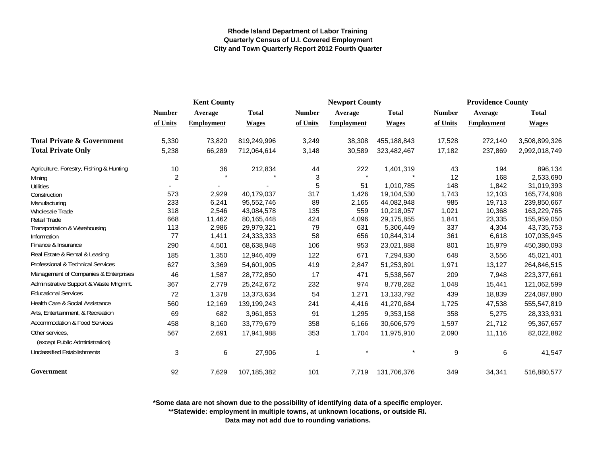|                                          | <b>Kent County</b> |                      |              | <b>Newport County</b>     |                   |              | <b>Providence County</b> |                   |               |
|------------------------------------------|--------------------|----------------------|--------------|---------------------------|-------------------|--------------|--------------------------|-------------------|---------------|
|                                          | <b>Number</b>      | Average              | <b>Total</b> | <b>Number</b>             | Average           | <b>Total</b> | <b>Number</b>            | Average           | <b>Total</b>  |
|                                          | of Units           | Employment           | <b>Wages</b> | of Units                  | <b>Employment</b> | <b>Wages</b> | of Units                 | <b>Employment</b> | <b>Wages</b>  |
| <b>Total Private &amp; Government</b>    | 5,330              | 73,820               | 819,249,996  | 3,249                     | 38,308            | 455,188,843  | 17,528                   | 272,140           | 3,508,899,326 |
| <b>Total Private Only</b>                | 5,238              | 66,289               | 712,064,614  | 3,148                     | 30,589            | 323,482,467  | 17,182                   | 237,869           | 2,992,018,749 |
| Agriculture, Forestry, Fishing & Hunting | 10                 | 36                   | 212,834      | 44                        | 222               | 1,401,319    | 43                       | 194               | 896,134       |
| Mining                                   | $\overline{2}$     | $\ddot{\phantom{0}}$ |              | $\ensuremath{\mathsf{3}}$ | $\star$           |              | 12                       | 168               | 2,533,690     |
| <b>Utilities</b>                         |                    |                      |              | 5                         | 51                | 1,010,785    | 148                      | 1,842             | 31,019,393    |
| Construction                             | 573                | 2,929                | 40,179,037   | 317                       | 1,426             | 19,104,530   | 1,743                    | 12,103            | 165,774,908   |
| Manufacturing                            | 233                | 6,241                | 95,552,746   | 89                        | 2,165             | 44,082,948   | 985                      | 19,713            | 239,850,667   |
| Wholesale Trade                          | 318                | 2,546                | 43,084,578   | 135                       | 559               | 10,218,057   | 1,021                    | 10,368            | 163,229,765   |
| <b>Retail Trade</b>                      | 668                | 11,462               | 80,165,448   | 424                       | 4,096             | 29,175,855   | 1,841                    | 23,335            | 155,959,050   |
| Transportation & Warehousing             | 113                | 2,986                | 29,979,321   | 79                        | 631               | 5,306,449    | 337                      | 4,304             | 43,735,753    |
| Information                              | 77                 | 1,411                | 24,333,333   | 58                        | 656               | 10,844,314   | 361                      | 6,618             | 107,035,945   |
| Finance & Insurance                      | 290                | 4,501                | 68,638,948   | 106                       | 953               | 23,021,888   | 801                      | 15,979            | 450,380,093   |
| Real Estate & Rental & Leasing           | 185                | 1,350                | 12,946,409   | 122                       | 671               | 7,294,830    | 648                      | 3,556             | 45,021,401    |
| Professional & Technical Services        | 627                | 3,369                | 54,601,905   | 419                       | 2,847             | 51,253,891   | 1,971                    | 13,127            | 264,846,515   |
| Management of Companies & Enterprises    | 46                 | 1,587                | 28,772,850   | 17                        | 471               | 5,538,567    | 209                      | 7,948             | 223,377,661   |
| Administrative Support & Waste Mngmnt.   | 367                | 2,779                | 25,242,672   | 232                       | 974               | 8,778,282    | 1,048                    | 15,441            | 121,062,599   |
| <b>Educational Services</b>              | 72                 | 1,378                | 13,373,634   | 54                        | 1,271             | 13,133,792   | 439                      | 18,839            | 224,087,880   |
| Health Care & Social Assistance          | 560                | 12,169               | 139,199,243  | 241                       | 4,416             | 41,270,684   | 1,725                    | 47,538            | 555,547,819   |
| Arts, Entertainment, & Recreation        | 69                 | 682                  | 3,961,853    | 91                        | 1,295             | 9,353,158    | 358                      | 5,275             | 28,333,931    |
| Accommodation & Food Services            | 458                | 8,160                | 33,779,679   | 358                       | 6,166             | 30,606,579   | 1,597                    | 21,712            | 95,367,657    |
| Other services,                          | 567                | 2,691                | 17,941,988   | 353                       | 1,704             | 11,975,910   | 2,090                    | 11,116            | 82,022,882    |
| (except Public Administration)           |                    |                      |              |                           |                   |              |                          |                   |               |
| <b>Unclassified Establishments</b>       | 3                  | 6                    | 27,906       | 1                         |                   |              | 9                        | 6                 | 41,547        |
| Government                               | 92                 | 7,629                | 107,185,382  | 101                       | 7,719             | 131,706,376  | 349                      | 34,341            | 516,880,577   |

**\*Some data are not shown due to the possibility of identifying data of a specific employer.**

**\*\*Statewide: employment in multiple towns, at unknown locations, or outside RI.**